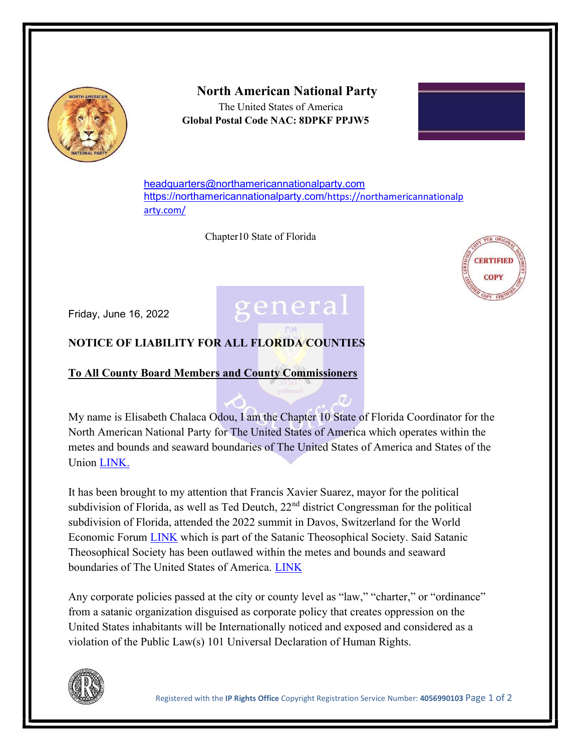

## North American National Party

 The United States of America Global Postal Code NAC: 8DPKF PPJW5



headquarters@northamericannationalparty.com https://northamericannationalparty.com/https://northamericannationalp arty.com/

general

Chapter10 State of Florida



Friday, June 16, 2022

## NOTICE OF LIABILITY FOR ALL FLORIDA COUNTIES

## To All County Board Members and County Commissioners

My name is Elisabeth Chalaca Odou, I am the Chapter 10 State of Florida Coordinator for the North American National Party for The United States of America which operates within the metes and bounds and seaward boundaries of The United States of America and States of the Union LINK.

It has been brought to my attention that Francis Xavier Suarez, mayor for the political subdivision of Florida, as well as Ted Deutch, 22<sup>nd</sup> district Congressman for the political subdivision of Florida, attended the 2022 summit in Davos, Switzerland for the World Economic Forum LINK which is part of the Satanic Theosophical Society. Said Satanic Theosophical Society has been outlawed within the metes and bounds and seaward boundaries of The United States of America. LINK

Any corporate policies passed at the city or county level as "law," "charter," or "ordinance" from a satanic organization disguised as corporate policy that creates oppression on the United States inhabitants will be Internationally noticed and exposed and considered as a violation of the Public Law(s) 101 Universal Declaration of Human Rights.